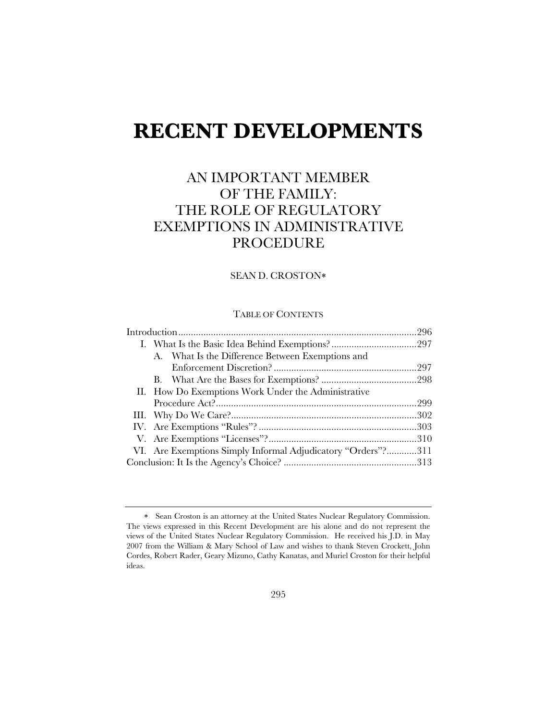# **RECENT DEVELOPMENTS**

# AN IMPORTANT MEMBER OF THE FAMILY: THE ROLE OF REGULATORY EXEMPTIONS IN ADMINISTRATIVE PROCEDURE

# SEAN D. CROSTON

#### TABLE OF CONTENTS

|  | A. What Is the Difference Between Exemptions and             |  |
|--|--------------------------------------------------------------|--|
|  |                                                              |  |
|  |                                                              |  |
|  | II. How Do Exemptions Work Under the Administrative          |  |
|  |                                                              |  |
|  |                                                              |  |
|  |                                                              |  |
|  |                                                              |  |
|  | VI. Are Exemptions Simply Informal Adjudicatory "Orders"?311 |  |
|  |                                                              |  |

Sean Croston is an attorney at the United States Nuclear Regulatory Commission. The views expressed in this Recent Development are his alone and do not represent the views of the United States Nuclear Regulatory Commission. He received his J.D. in May 2007 from the William & Mary School of Law and wishes to thank Steven Crockett, John Cordes, Robert Rader, Geary Mizuno, Cathy Kanatas, and Muriel Croston for their helpful ideas.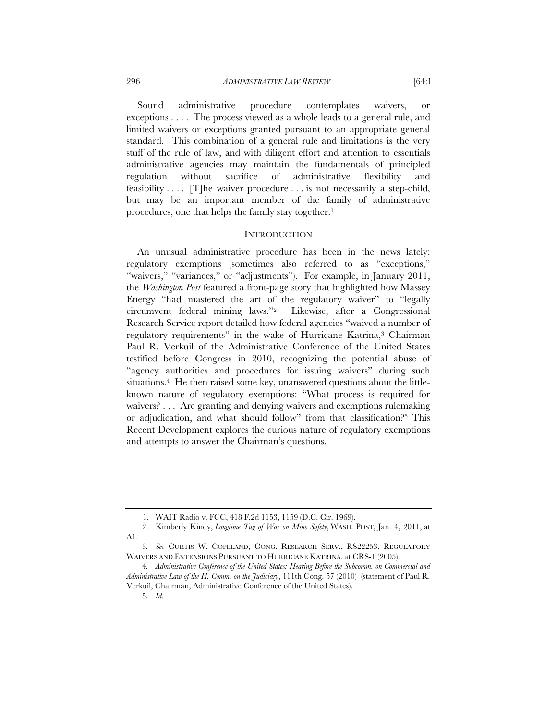Sound administrative procedure contemplates waivers, or exceptions . . . . The process viewed as a whole leads to a general rule, and limited waivers or exceptions granted pursuant to an appropriate general standard. This combination of a general rule and limitations is the very stuff of the rule of law, and with diligent effort and attention to essentials administrative agencies may maintain the fundamentals of principled regulation without sacrifice of administrative flexibility and feasibility  $\ldots$  [T] he waiver procedure  $\ldots$  is not necessarily a step-child, but may be an important member of the family of administrative procedures, one that helps the family stay together.<sup>1</sup>

#### **INTRODUCTION**

An unusual administrative procedure has been in the news lately: regulatory exemptions (sometimes also referred to as "exceptions," "waivers," "variances," or "adjustments"). For example, in January 2011, the *Washington Post* featured a front-page story that highlighted how Massey Energy "had mastered the art of the regulatory waiver" to "legally circumvent federal mining laws."2 Likewise, after a Congressional Research Service report detailed how federal agencies "waived a number of regulatory requirements" in the wake of Hurricane Katrina,<sup>3</sup> Chairman Paul R. Verkuil of the Administrative Conference of the United States testified before Congress in 2010, recognizing the potential abuse of "agency authorities and procedures for issuing waivers" during such situations.<sup>4</sup> He then raised some key, unanswered questions about the littleknown nature of regulatory exemptions: "What process is required for waivers? . . . Are granting and denying waivers and exemptions rulemaking or adjudication, and what should follow" from that classification?5 This Recent Development explores the curious nature of regulatory exemptions and attempts to answer the Chairman's questions.

<sup>1.</sup> WAIT Radio v. FCC, 418 F.2d 1153, 1159 (D.C. Cir. 1969).

<sup>2.</sup> Kimberly Kindy, *Longtime Tug of War on Mine Safety*, WASH. POST, Jan. 4, 2011, at A1.

<sup>3</sup>*. See* CURTIS W. COPELAND, CONG. RESEARCH SERV., RS22253, REGULATORY WAIVERS AND EXTENSIONS PURSUANT TO HURRICANE KATRINA, at CRS-1 (2005).

<sup>4</sup>*. Administrative Conference of the United States: Hearing Before the Subcomm. on Commercial and Administrative Law of the H. Comm. on the Judiciary*, 111th Cong. 57 (2010) (statement of Paul R. Verkuil, Chairman, Administrative Conference of the United States).

<sup>5</sup>*. Id*.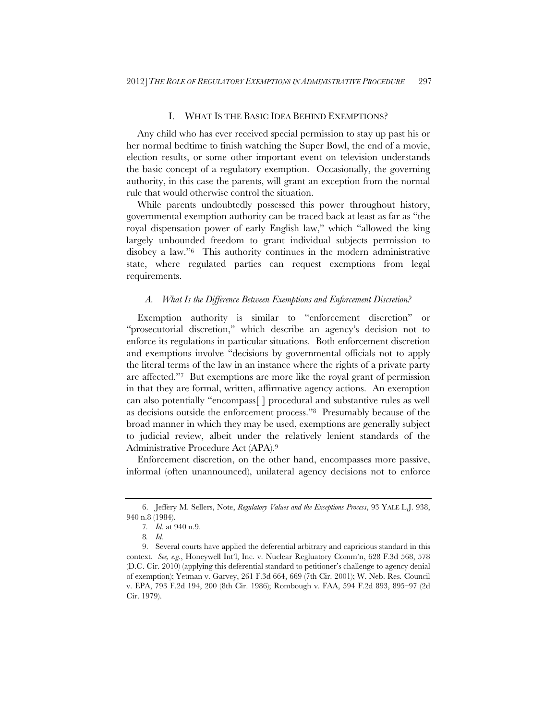# I. WHAT IS THE BASIC IDEA BEHIND EXEMPTIONS?

Any child who has ever received special permission to stay up past his or her normal bedtime to finish watching the Super Bowl, the end of a movie, election results, or some other important event on television understands the basic concept of a regulatory exemption. Occasionally, the governing authority, in this case the parents, will grant an exception from the normal rule that would otherwise control the situation.

While parents undoubtedly possessed this power throughout history, governmental exemption authority can be traced back at least as far as "the royal dispensation power of early English law," which "allowed the king largely unbounded freedom to grant individual subjects permission to disobey a law."6 This authority continues in the modern administrative state, where regulated parties can request exemptions from legal requirements.

#### *A. What Is the Difference Between Exemptions and Enforcement Discretion?*

Exemption authority is similar to "enforcement discretion" or "prosecutorial discretion," which describe an agency's decision not to enforce its regulations in particular situations. Both enforcement discretion and exemptions involve "decisions by governmental officials not to apply the literal terms of the law in an instance where the rights of a private party are affected."7 But exemptions are more like the royal grant of permission in that they are formal, written, affirmative agency actions. An exemption can also potentially "encompass[ ] procedural and substantive rules as well as decisions outside the enforcement process."8 Presumably because of the broad manner in which they may be used, exemptions are generally subject to judicial review, albeit under the relatively lenient standards of the Administrative Procedure Act (APA).9

Enforcement discretion, on the other hand, encompasses more passive, informal (often unannounced), unilateral agency decisions not to enforce

<sup>6.</sup> Jeffery M. Sellers, Note, *Regulatory Values and the Exceptions Process*, 93 YALE L.J. 938, 940 n.8 (1984).

<sup>7</sup>*. Id*. at 940 n.9.

<sup>8</sup>*. Id.*

<sup>9.</sup> Several courts have applied the deferential arbitrary and capricious standard in this context. *See, e.g.*, Honeywell Int'l, Inc. v. Nuclear Regluatory Comm'n, 628 F.3d 568, 578 (D.C. Cir. 2010) (applying this deferential standard to petitioner's challenge to agency denial of exemption); Yetman v. Garvey, 261 F.3d 664, 669 (7th Cir. 2001); W. Neb. Res. Council v. EPA, 793 F.2d 194, 200 (8th Cir. 1986); Rombough v. FAA, 594 F.2d 893, 895–97 (2d Cir. 1979).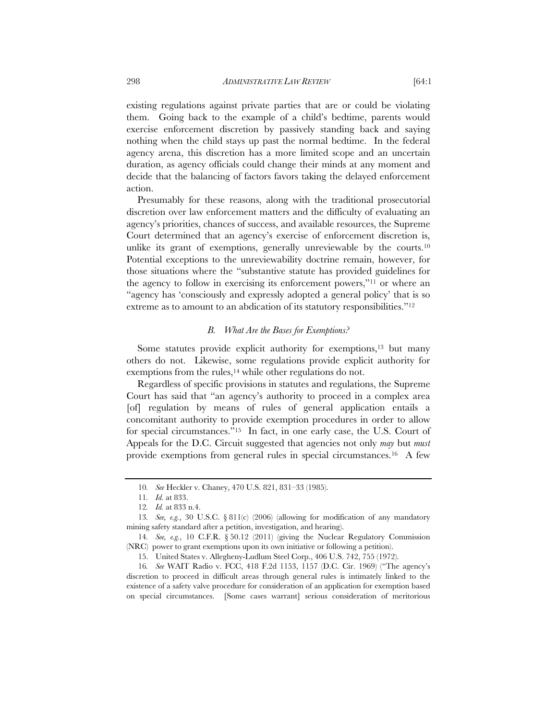existing regulations against private parties that are or could be violating them. Going back to the example of a child's bedtime, parents would exercise enforcement discretion by passively standing back and saying nothing when the child stays up past the normal bedtime. In the federal agency arena, this discretion has a more limited scope and an uncertain duration, as agency officials could change their minds at any moment and decide that the balancing of factors favors taking the delayed enforcement action.

Presumably for these reasons, along with the traditional prosecutorial discretion over law enforcement matters and the difficulty of evaluating an agency's priorities, chances of success, and available resources, the Supreme Court determined that an agency's exercise of enforcement discretion is, unlike its grant of exemptions, generally unreviewable by the courts.10 Potential exceptions to the unreviewability doctrine remain, however, for those situations where the "substantive statute has provided guidelines for the agency to follow in exercising its enforcement powers,"11 or where an "agency has 'consciously and expressly adopted a general policy' that is so extreme as to amount to an abdication of its statutory responsibilities."12

# *B. What Are the Bases for Exemptions?*

Some statutes provide explicit authority for exemptions,<sup>13</sup> but many others do not. Likewise, some regulations provide explicit authority for exemptions from the rules,<sup>14</sup> while other regulations do not.

Regardless of specific provisions in statutes and regulations, the Supreme Court has said that "an agency's authority to proceed in a complex area [of] regulation by means of rules of general application entails a concomitant authority to provide exemption procedures in order to allow for special circumstances."15 In fact, in one early case, the U.S. Court of Appeals for the D.C. Circuit suggested that agencies not only *may* but *must* provide exemptions from general rules in special circumstances.16 A few

<sup>10</sup>*. See* Heckler v. Chaney, 470 U.S. 821, 831–33 (1985).

<sup>11</sup>*. Id.* at 833.

<sup>12</sup>*. Id.* at 833 n.4.

<sup>13</sup>*. See, e.g.*, 30 U.S.C. § 811(c) (2006) (allowing for modification of any mandatory mining safety standard after a petition, investigation, and hearing).

<sup>14</sup>*. See, e.g.*, 10 C.F.R. § 50.12 (2011) (giving the Nuclear Regulatory Commission (NRC) power to grant exemptions upon its own initiative or following a petition).

<sup>15.</sup> United States v. Allegheny-Ludlum Steel Corp., 406 U.S. 742, 755 (1972).

<sup>16</sup>*. See* WAIT Radio v. FCC, 418 F.2d 1153, 1157 (D.C. Cir. 1969) ("The agency's discretion to proceed in difficult areas through general rules is intimately linked to the existence of a safety valve procedure for consideration of an application for exemption based on special circumstances. [Some cases warrant] serious consideration of meritorious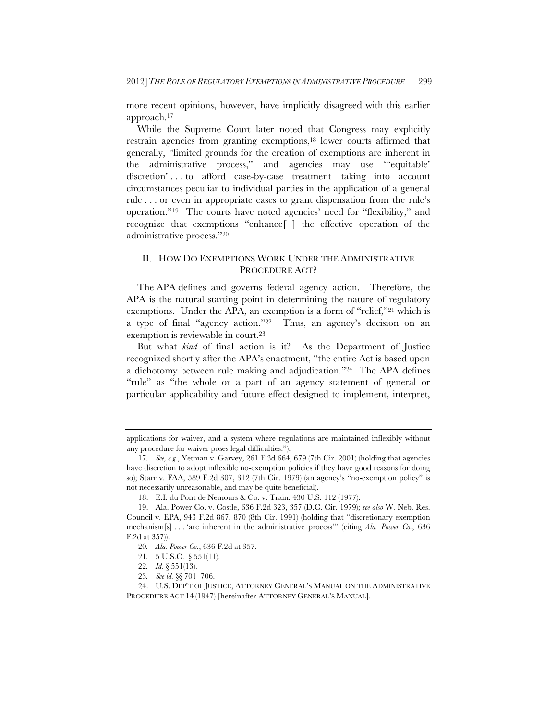more recent opinions, however, have implicitly disagreed with this earlier approach.17

While the Supreme Court later noted that Congress may explicitly restrain agencies from granting exemptions,18 lower courts affirmed that generally, "limited grounds for the creation of exemptions are inherent in the administrative process," and agencies may use "'equitable' discretion' . . . to afford case-by-case treatment—taking into account circumstances peculiar to individual parties in the application of a general rule . . . or even in appropriate cases to grant dispensation from the rule's operation."19 The courts have noted agencies' need for "flexibility," and recognize that exemptions "enhance[ ] the effective operation of the administrative process."20

# II. HOW DO EXEMPTIONS WORK UNDER THE ADMINISTRATIVE PROCEDURE ACT?

The APA defines and governs federal agency action. Therefore, the APA is the natural starting point in determining the nature of regulatory exemptions. Under the APA, an exemption is a form of "relief,"21 which is a type of final "agency action."22 Thus, an agency's decision on an exemption is reviewable in court.<sup>23</sup>

But what *kind* of final action is it? As the Department of Justice recognized shortly after the APA's enactment, "the entire Act is based upon a dichotomy between rule making and adjudication."24 The APA defines "rule" as "the whole or a part of an agency statement of general or particular applicability and future effect designed to implement, interpret,

applications for waiver, and a system where regulations are maintained inflexibly without any procedure for waiver poses legal difficulties.").

<sup>17</sup>*. See, e.g.*, Yetman v. Garvey, 261 F.3d 664, 679 (7th Cir. 2001) (holding that agencies have discretion to adopt inflexible no-exemption policies if they have good reasons for doing so); Starr v. FAA, 589 F.2d 307, 312 (7th Cir. 1979) (an agency's "no-exemption policy" is not necessarily unreasonable, and may be quite beneficial).

<sup>18.</sup> E.I. du Pont de Nemours & Co. v. Train, 430 U.S. 112 (1977).

<sup>19.</sup> Ala. Power Co. v. Costle, 636 F.2d 323, 357 (D.C. Cir. 1979); *see also* W. Neb. Res. Council v. EPA, 943 F.2d 867, 870 (8th Cir. 1991) (holding that "discretionary exemption mechanism[s] . . . 'are inherent in the administrative process'" (citing *Ala. Power Co.*, 636 F.2d at 357)).

<sup>20</sup>*. Ala. Power Co.*, 636 F.2d at 357.

<sup>21</sup>*.* 5 U.S.C. § 551(11).

<sup>22</sup>*. Id.* § 551(13).

<sup>23</sup>*. See id.* §§ 701–706.

<sup>24.</sup> U.S. DEP'T OF JUSTICE, ATTORNEY GENERAL'S MANUAL ON THE ADMINISTRATIVE PROCEDURE ACT 14 (1947) [hereinafter ATTORNEY GENERAL'S MANUAL].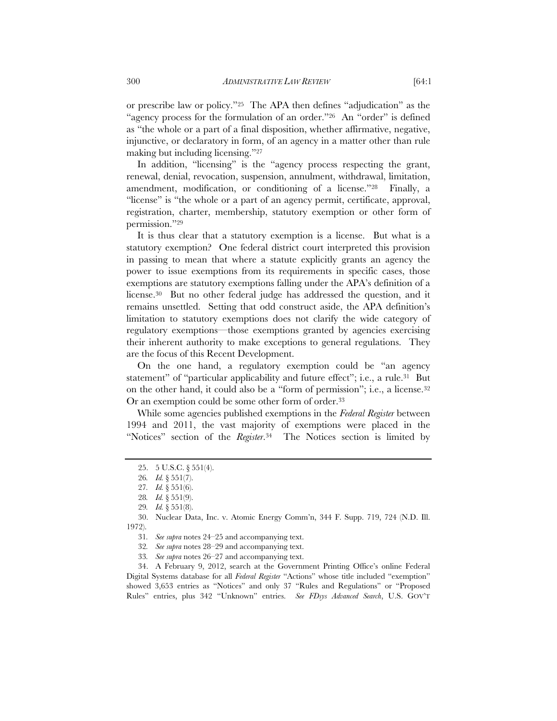or prescribe law or policy."25 The APA then defines "adjudication" as the "agency process for the formulation of an order."26 An "order" is defined as "the whole or a part of a final disposition, whether affirmative, negative, injunctive, or declaratory in form, of an agency in a matter other than rule making but including licensing."27

In addition, "licensing" is the "agency process respecting the grant, renewal, denial, revocation, suspension, annulment, withdrawal, limitation, amendment, modification, or conditioning of a license."28 Finally, a "license" is "the whole or a part of an agency permit, certificate, approval, registration, charter, membership, statutory exemption or other form of permission."29

It is thus clear that a statutory exemption is a license. But what is a statutory exemption? One federal district court interpreted this provision in passing to mean that where a statute explicitly grants an agency the power to issue exemptions from its requirements in specific cases, those exemptions are statutory exemptions falling under the APA's definition of a license.30 But no other federal judge has addressed the question, and it remains unsettled. Setting that odd construct aside, the APA definition's limitation to statutory exemptions does not clarify the wide category of regulatory exemptions—those exemptions granted by agencies exercising their inherent authority to make exceptions to general regulations. They are the focus of this Recent Development.

On the one hand, a regulatory exemption could be "an agency statement" of "particular applicability and future effect"; i.e., a rule.<sup>31</sup> But on the other hand, it could also be a "form of permission"; i.e., a license.<sup>32</sup> Or an exemption could be some other form of order.33

While some agencies published exemptions in the *Federal Register* between 1994 and 2011, the vast majority of exemptions were placed in the "Notices" section of the *Register*.34 The Notices section is limited by

33*. See supra* notes 26–27 and accompanying text.

34. A February 9, 2012, search at the Government Printing Office's online Federal Digital Systems database for all *Federal Register* "Actions" whose title included "exemption" showed 3,653 entries as "Notices" and only 37 "Rules and Regulations" or "Proposed Rules" entries, plus 342 "Unknown" entries. *See FDsys Advanced Search*, U.S. GOV'T

<sup>25. 5</sup> U.S.C. § 551(4).

<sup>26</sup>*. Id.* § 551(7).

<sup>27</sup>*. Id.* § 551(6).

<sup>28</sup>*. Id.* § 551(9).

<sup>29</sup>*. Id.* § 551(8).

<sup>30.</sup> Nuclear Data, Inc. v. Atomic Energy Comm'n, 344 F. Supp. 719, 724 (N.D. Ill. 1972).

<sup>31</sup>*. See supra* notes 24–25 and accompanying text.

<sup>32</sup>*. See supra* notes 28–29 and accompanying text.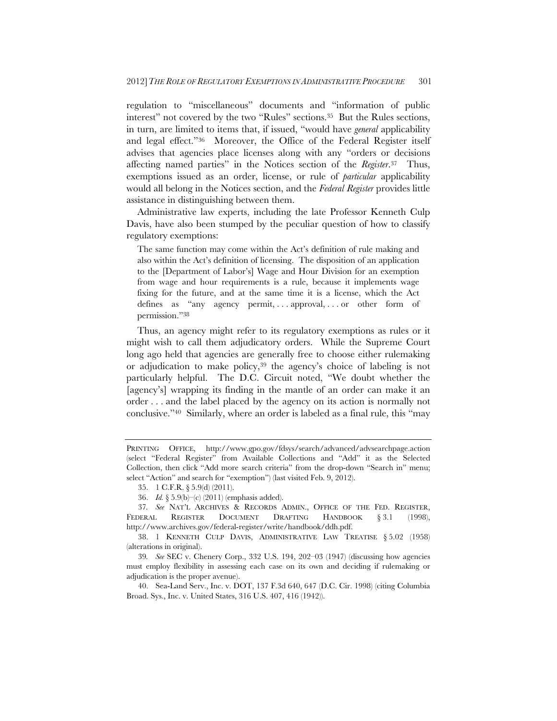regulation to "miscellaneous" documents and "information of public interest" not covered by the two "Rules" sections.<sup>35</sup> But the Rules sections, in turn, are limited to items that, if issued, "would have *general* applicability and legal effect."36 Moreover, the Office of the Federal Register itself advises that agencies place licenses along with any "orders or decisions affecting named parties" in the Notices section of the *Register*.37 Thus, exemptions issued as an order, license, or rule of *particular* applicability would all belong in the Notices section, and the *Federal Register* provides little assistance in distinguishing between them.

Administrative law experts, including the late Professor Kenneth Culp Davis, have also been stumped by the peculiar question of how to classify regulatory exemptions:

The same function may come within the Act's definition of rule making and also within the Act's definition of licensing. The disposition of an application to the [Department of Labor's] Wage and Hour Division for an exemption from wage and hour requirements is a rule, because it implements wage fixing for the future, and at the same time it is a license, which the Act defines as "any agency permit, ... approval, ... or other form of permission."38

Thus, an agency might refer to its regulatory exemptions as rules or it might wish to call them adjudicatory orders. While the Supreme Court long ago held that agencies are generally free to choose either rulemaking or adjudication to make policy,39 the agency's choice of labeling is not particularly helpful. The D.C. Circuit noted, "We doubt whether the [agency's] wrapping its finding in the mantle of an order can make it an order . . . and the label placed by the agency on its action is normally not conclusive."40 Similarly, where an order is labeled as a final rule, this "may

PRINTING OFFICE, http://www.gpo.gov/fdsys/search/advanced/advsearchpage.action (select "Federal Register" from Available Collections and "Add" it as the Selected Collection, then click "Add more search criteria" from the drop-down "Search in" menu; select "Action" and search for "exemption") (last visited Feb. 9, 2012).

<sup>35. 1</sup> C.F.R. § 5.9(d) (2011).

<sup>36.</sup> *Id.* § 5.9(b)–(c) (2011) (emphasis added).

<sup>37</sup>*. See* NAT'L ARCHIVES & RECORDS ADMIN., OFFICE OF THE FED. REGISTER, FEDERAL REGISTER DOCUMENT DRAFTING HANDBOOK § 3.1 (1998), http://www.archives.gov/federal-register/write/handbook/ddh.pdf.

<sup>38. 1</sup> KENNETH CULP DAVIS, ADMINISTRATIVE LAW TREATISE § 5.02 (1958) (alterations in original).

<sup>39</sup>*. See* SEC v. Chenery Corp., 332 U.S. 194, 202–03 (1947) (discussing how agencies must employ flexibility in assessing each case on its own and deciding if rulemaking or adjudication is the proper avenue).

<sup>40.</sup> Sea-Land Serv., Inc. v. DOT, 137 F.3d 640, 647 (D.C. Cir. 1998) (citing Columbia Broad. Sys., Inc. v. United States, 316 U.S. 407, 416 (1942)).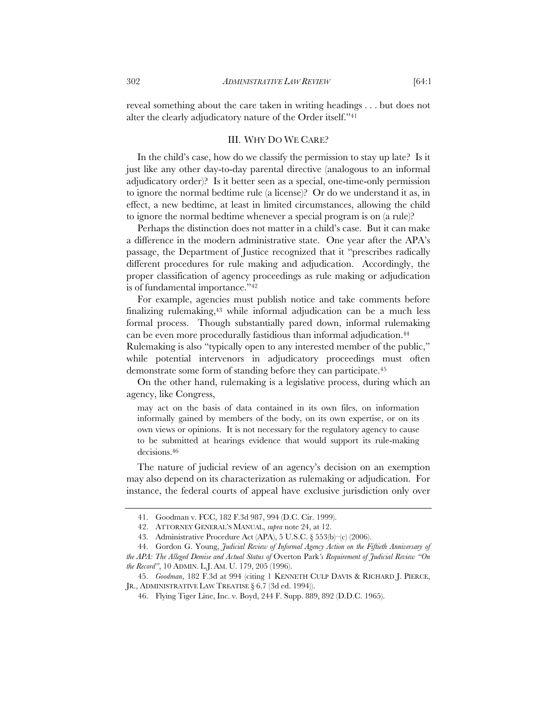reveal something about the care taken in writing headings . . . but does not alter the clearly adjudicatory nature of the Order itself."41

#### III. WHY DO WE CARE?

In the child's case, how do we classify the permission to stay up late? Is it just like any other day-to-day parental directive (analogous to an informal adjudicatory order)? Is it better seen as a special, one-time-only permission to ignore the normal bedtime rule (a license)? Or do we understand it as, in effect, a new bedtime, at least in limited circumstances, allowing the child to ignore the normal bedtime whenever a special program is on (a rule)?

Perhaps the distinction does not matter in a child's case. But it can make a difference in the modern administrative state. One year after the APA's passage, the Department of Justice recognized that it "prescribes radically different procedures for rule making and adjudication. Accordingly, the proper classification of agency proceedings as rule making or adjudication is of fundamental importance."42

For example, agencies must publish notice and take comments before finalizing rulemaking,<sup>43</sup> while informal adjudication can be a much less formal process. Though substantially pared down, informal rulemaking can be even more procedurally fastidious than informal adjudication.<sup>44</sup>

Rulemaking is also "typically open to any interested member of the public," while potential intervenors in adjudicatory proceedings must often demonstrate some form of standing before they can participate.45

On the other hand, rulemaking is a legislative process, during which an agency, like Congress,

may act on the basis of data contained in its own files, on information informally gained by members of the body, on its own expertise, or on its own views or opinions. It is not necessary for the regulatory agency to cause to be submitted at hearings evidence that would support its rule-making decisions.46

The nature of judicial review of an agency's decision on an exemption may also depend on its characterization as rulemaking or adjudication. For instance, the federal courts of appeal have exclusive jurisdiction only over

<sup>41.</sup> Goodman v. FCC, 182 F.3d 987, 994 (D.C. Cir. 1999).

<sup>42.</sup> ATTORNEY GENERAL'S MANUAL, *supra* note 24, at 12.

<sup>43.</sup> Administrative Procedure Act (APA), 5 U.S.C. § 553(b)–(c) (2006).

<sup>44.</sup> Gordon G. Young, *Judicial Review of Informal Agency Action on the Fiftieth Anniversary of the APA: The Alleged Demise and Actual Status of* Overton Park*'s Requirement of Judicial Review "On* 

*the Record"*, 10 ADMIN. L.J. AM. U. 179, 205 (1996).

<sup>45.</sup> *Goodman*, 182 F.3d at 994 (citing 1 KENNETH CULP DAVIS & RICHARD J. PIERCE, JR., ADMINISTRATIVE LAW TREATISE § 6.7 (3d ed. 1994)).

<sup>46.</sup> Flying Tiger Line, Inc. v. Boyd, 244 F. Supp. 889, 892 (D.D.C. 1965).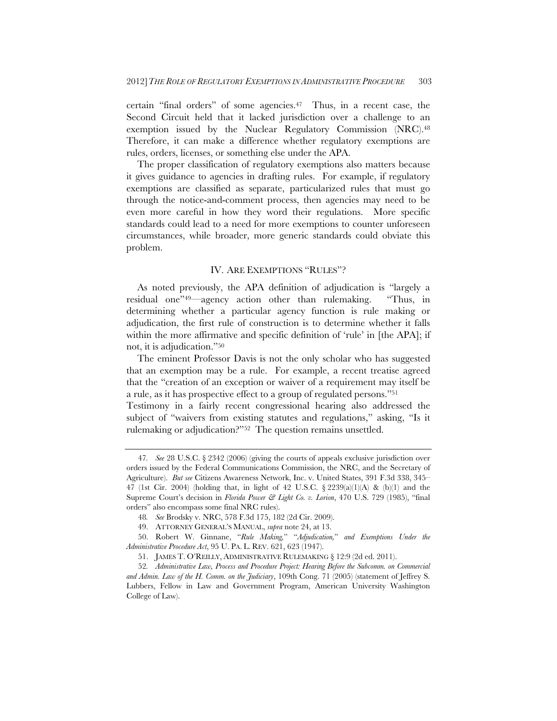certain "final orders" of some agencies.47 Thus, in a recent case, the Second Circuit held that it lacked jurisdiction over a challenge to an exemption issued by the Nuclear Regulatory Commission (NRC).48 Therefore, it can make a difference whether regulatory exemptions are rules, orders, licenses, or something else under the APA.

The proper classification of regulatory exemptions also matters because it gives guidance to agencies in drafting rules. For example, if regulatory exemptions are classified as separate, particularized rules that must go through the notice-and-comment process, then agencies may need to be even more careful in how they word their regulations. More specific standards could lead to a need for more exemptions to counter unforeseen circumstances, while broader, more generic standards could obviate this problem.

# IV. ARE EXEMPTIONS "RULES"?

As noted previously, the APA definition of adjudication is "largely a residual one"49—agency action other than rulemaking. "Thus, in determining whether a particular agency function is rule making or adjudication, the first rule of construction is to determine whether it falls within the more affirmative and specific definition of 'rule' in [the APA]; if not, it is adjudication."50

The eminent Professor Davis is not the only scholar who has suggested that an exemption may be a rule. For example, a recent treatise agreed that the "creation of an exception or waiver of a requirement may itself be a rule, as it has prospective effect to a group of regulated persons."51

Testimony in a fairly recent congressional hearing also addressed the subject of "waivers from existing statutes and regulations," asking, "Is it rulemaking or adjudication?"52 The question remains unsettled.

<sup>47</sup>*. See* 28 U.S.C. § 2342 (2006) (giving the courts of appeals exclusive jurisdiction over orders issued by the Federal Communications Commission, the NRC, and the Secretary of Agriculture). *But see* Citizens Awareness Network, Inc. v. United States, 391 F.3d 338, 345– 47 (1st Cir. 2004) (holding that, in light of 42 U.S.C.  $\S 2239(a)(1)(A) \& (b)(1)$  and the Supreme Court's decision in *Florida Power & Light Co. v. Lorion*, 470 U.S. 729 (1985), "final orders" also encompass some final NRC rules).

<sup>48</sup>*. See* Brodsky v. NRC, 578 F.3d 175, 182 (2d Cir. 2009).

<sup>49.</sup> ATTORNEY GENERAL'S MANUAL, *supra* note 24, at 13.

<sup>50.</sup> Robert W. Ginnane, "*Rule Making,*" "*Adjudication,*" *and Exemptions Under the Administrative Procedure Act*, 95 U. PA. L. REV. 621, 623 (1947).

<sup>51.</sup> JAMES T. O'REILLY, ADMINISTRATIVE RULEMAKING § 12:9 (2d ed. 2011).

<sup>52</sup>*. Administrative Law, Process and Procedure Project: Hearing Before the Subcomm. on Commercial and Admin. Law of the H. Comm. on the Judiciary*, 109th Cong. 71 (2005) (statement of Jeffrey S. Lubbers, Fellow in Law and Government Program, American University Washington College of Law).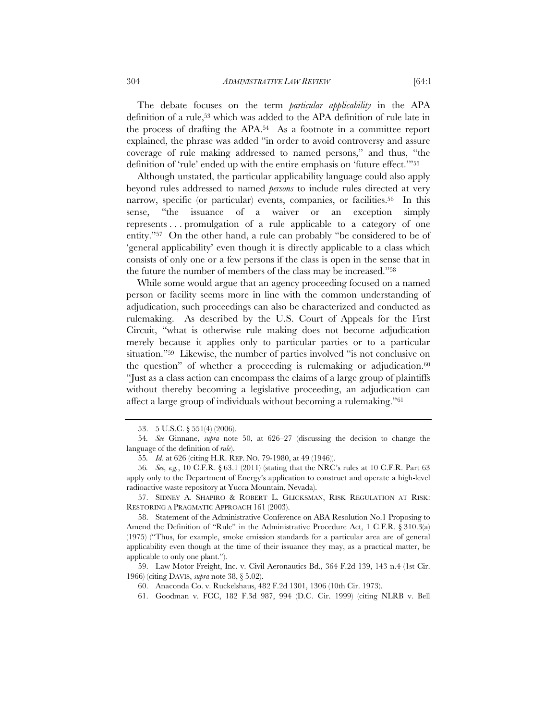The debate focuses on the term *particular applicability* in the APA definition of a rule,53 which was added to the APA definition of rule late in the process of drafting the APA.54 As a footnote in a committee report explained, the phrase was added "in order to avoid controversy and assure coverage of rule making addressed to named persons," and thus, "the definition of 'rule' ended up with the entire emphasis on 'future effect.'"55

Although unstated, the particular applicability language could also apply beyond rules addressed to named *persons* to include rules directed at very narrow, specific (or particular) events, companies, or facilities.<sup>56</sup> In this sense, "the issuance of a waiver or an exception simply represents . . . promulgation of a rule applicable to a category of one entity."57 On the other hand, a rule can probably "be considered to be of 'general applicability' even though it is directly applicable to a class which consists of only one or a few persons if the class is open in the sense that in the future the number of members of the class may be increased."58

While some would argue that an agency proceeding focused on a named person or facility seems more in line with the common understanding of adjudication, such proceedings can also be characterized and conducted as rulemaking. As described by the U.S. Court of Appeals for the First Circuit, "what is otherwise rule making does not become adjudication merely because it applies only to particular parties or to a particular situation."59 Likewise, the number of parties involved "is not conclusive on the question" of whether a proceeding is rulemaking or adjudication. $60$ "Just as a class action can encompass the claims of a large group of plaintiffs without thereby becoming a legislative proceeding, an adjudication can affect a large group of individuals without becoming a rulemaking."61

<sup>53. 5</sup> U.S.C. § 551(4) (2006).

<sup>54</sup>*. See* Ginnane, *supra* note 50, at 626–27 (discussing the decision to change the language of the definition of *rule*).

<sup>55</sup>*. Id.* at 626 (citing H.R. REP. NO. 79-1980, at 49 (1946)).

<sup>56</sup>*. See, e.g.*, 10 C.F.R. § 63.1 (2011) (stating that the NRC's rules at 10 C.F.R. Part 63 apply only to the Department of Energy's application to construct and operate a high-level radioactive waste repository at Yucca Mountain, Nevada).

<sup>57.</sup> SIDNEY A. SHAPIRO & ROBERT L. GLICKSMAN, RISK REGULATION AT RISK: RESTORING A PRAGMATIC APPROACH 161 (2003).

<sup>58.</sup> Statement of the Administrative Conference on ABA Resolution No.1 Proposing to Amend the Definition of "Rule" in the Administrative Procedure Act, 1 C.F.R. § 310.3(a) (1975) ("Thus, for example, smoke emission standards for a particular area are of general applicability even though at the time of their issuance they may, as a practical matter, be applicable to only one plant.").

<sup>59.</sup> Law Motor Freight, Inc. v. Civil Aeronautics Bd., 364 F.2d 139, 143 n.4 (1st Cir. 1966) (citing DAVIS, *supra* note 38, § 5.02).

<sup>60.</sup> Anaconda Co. v. Ruckelshaus, 482 F.2d 1301, 1306 (10th Cir. 1973).

<sup>61.</sup> Goodman v. FCC, 182 F.3d 987, 994 (D.C. Cir. 1999) (citing NLRB v. Bell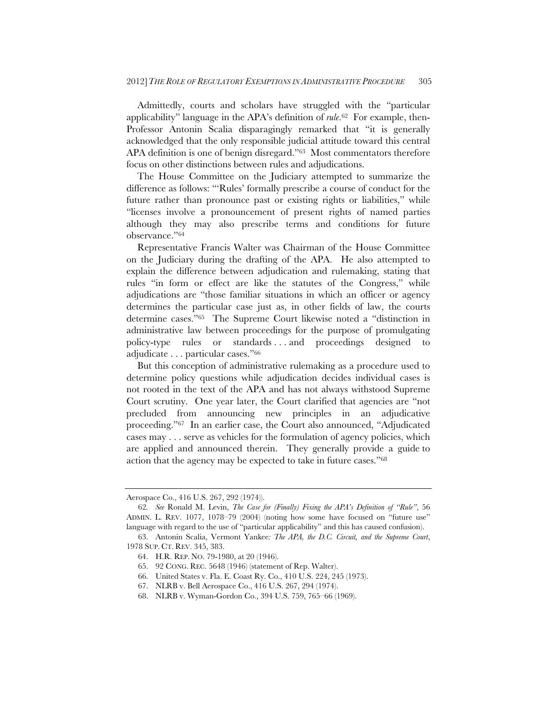Admittedly, courts and scholars have struggled with the "particular applicability" language in the APA's definition of *rule*.62 For example, then-Professor Antonin Scalia disparagingly remarked that "it is generally acknowledged that the only responsible judicial attitude toward this central APA definition is one of benign disregard."63 Most commentators therefore focus on other distinctions between rules and adjudications.

The House Committee on the Judiciary attempted to summarize the difference as follows: "'Rules' formally prescribe a course of conduct for the future rather than pronounce past or existing rights or liabilities," while "licenses involve a pronouncement of present rights of named parties although they may also prescribe terms and conditions for future observance."64

Representative Francis Walter was Chairman of the House Committee on the Judiciary during the drafting of the APA. He also attempted to explain the difference between adjudication and rulemaking, stating that rules "in form or effect are like the statutes of the Congress," while adjudications are "those familiar situations in which an officer or agency determines the particular case just as, in other fields of law, the courts determine cases."65 The Supreme Court likewise noted a "distinction in administrative law between proceedings for the purpose of promulgating policy-type rules or standards . . . and proceedings designed to adjudicate . . . particular cases."66

But this conception of administrative rulemaking as a procedure used to determine policy questions while adjudication decides individual cases is not rooted in the text of the APA and has not always withstood Supreme Court scrutiny. One year later, the Court clarified that agencies are "not precluded from announcing new principles in an adjudicative proceeding."67 In an earlier case, the Court also announced, "Adjudicated cases may . . . serve as vehicles for the formulation of agency policies, which are applied and announced therein. They generally provide a guide to action that the agency may be expected to take in future cases."68

Aerospace Co., 416 U.S. 267, 292 (1974)).

<sup>62</sup>*. See* Ronald M. Levin, *The Case for (Finally) Fixing the APA's Definition of "Rule"*, 56 ADMIN. L. REV. 1077, 1078–79 (2004) (noting how some have focused on "future use" language with regard to the use of "particular applicability" and this has caused confusion).

<sup>63.</sup> Antonin Scalia, Vermont Yankee*: The APA, the D.C. Circuit, and the Supreme Court*, 1978 SUP. CT. REV. 345, 383.

<sup>64.</sup> H.R. REP. NO. 79-1980, at 20 (1946).

<sup>65. 92</sup> CONG. REC. 5648 (1946) (statement of Rep. Walter).

<sup>66.</sup> United States v. Fla. E. Coast Ry. Co., 410 U.S. 224, 245 (1973).

<sup>67.</sup> NLRB v. Bell Aerospace Co., 416 U.S. 267, 294 (1974).

<sup>68.</sup> NLRB v. Wyman-Gordon Co., 394 U.S. 759, 765–66 (1969).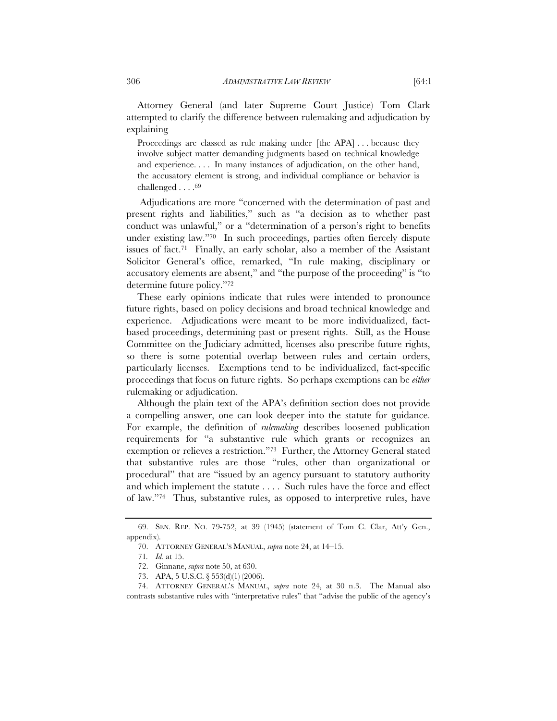Attorney General (and later Supreme Court Justice) Tom Clark attempted to clarify the difference between rulemaking and adjudication by explaining

Proceedings are classed as rule making under [the APA] . . . because they involve subject matter demanding judgments based on technical knowledge and experience. . . . In many instances of adjudication, on the other hand, the accusatory element is strong, and individual compliance or behavior is challenged . . . .69

 Adjudications are more "concerned with the determination of past and present rights and liabilities," such as "a decision as to whether past conduct was unlawful," or a "determination of a person's right to benefits under existing law."70 In such proceedings, parties often fiercely dispute issues of fact.71 Finally, an early scholar, also a member of the Assistant Solicitor General's office, remarked, "In rule making, disciplinary or accusatory elements are absent," and "the purpose of the proceeding" is "to determine future policy."72

These early opinions indicate that rules were intended to pronounce future rights, based on policy decisions and broad technical knowledge and experience. Adjudications were meant to be more individualized, factbased proceedings, determining past or present rights. Still, as the House Committee on the Judiciary admitted, licenses also prescribe future rights, so there is some potential overlap between rules and certain orders, particularly licenses. Exemptions tend to be individualized, fact-specific proceedings that focus on future rights. So perhaps exemptions can be *either* rulemaking or adjudication.

Although the plain text of the APA's definition section does not provide a compelling answer, one can look deeper into the statute for guidance. For example, the definition of *rulemaking* describes loosened publication requirements for "a substantive rule which grants or recognizes an exemption or relieves a restriction."73 Further, the Attorney General stated that substantive rules are those "rules, other than organizational or procedural" that are "issued by an agency pursuant to statutory authority and which implement the statute . . . . Such rules have the force and effect of law."74 Thus, substantive rules, as opposed to interpretive rules, have

<sup>69.</sup> SEN. REP. NO. 79-752, at 39 (1945) (statement of Tom C. Clar, Att'y Gen., appendix).

<sup>70.</sup> ATTORNEY GENERAL'S MANUAL, *supra* note 24, at 14–15.

<sup>71</sup>*. Id.* at 15.

<sup>72.</sup> Ginnane, *supra* note 50, at 630.

<sup>73.</sup> APA, 5 U.S.C. § 553(d)(1) (2006).

<sup>74.</sup> ATTORNEY GENERAL'S MANUAL, *supra* note 24, at 30 n.3. The Manual also contrasts substantive rules with "interpretative rules" that "advise the public of the agency's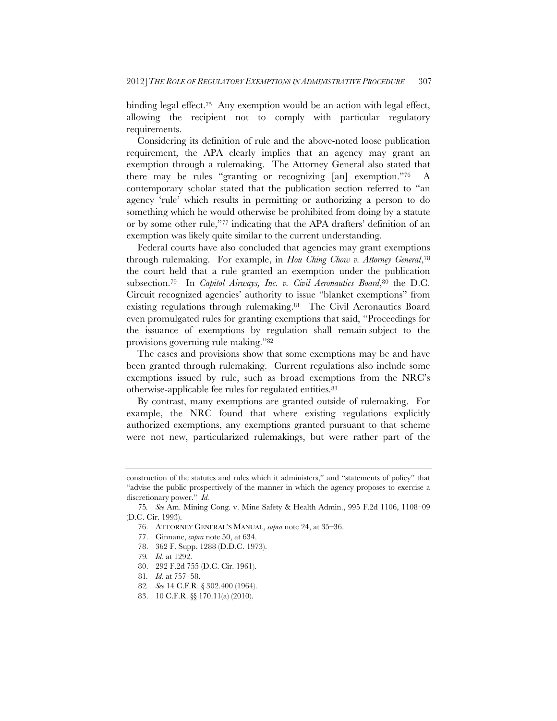binding legal effect.<sup>75</sup> Any exemption would be an action with legal effect, allowing the recipient not to comply with particular regulatory requirements.

Considering its definition of rule and the above-noted loose publication requirement, the APA clearly implies that an agency may grant an exemption through a rulemaking. The Attorney General also stated that there may be rules "granting or recognizing [an] exemption."76 A contemporary scholar stated that the publication section referred to "an agency 'rule' which results in permitting or authorizing a person to do something which he would otherwise be prohibited from doing by a statute or by some other rule,"77 indicating that the APA drafters' definition of an exemption was likely quite similar to the current understanding.

Federal courts have also concluded that agencies may grant exemptions through rulemaking. For example, in *Hou Ching Chow v. Attorney General*,78 the court held that a rule granted an exemption under the publication subsection.<sup>79</sup> In *Capitol Airways, Inc. v. Civil Aeronautics Board*,<sup>80</sup> the D.C. Circuit recognized agencies' authority to issue "blanket exemptions" from existing regulations through rulemaking.81 The Civil Aeronautics Board even promulgated rules for granting exemptions that said, "Proceedings for the issuance of exemptions by regulation shall remain subject to the provisions governing rule making."82

The cases and provisions show that some exemptions may be and have been granted through rulemaking. Current regulations also include some exemptions issued by rule, such as broad exemptions from the NRC's otherwise-applicable fee rules for regulated entities.83

By contrast, many exemptions are granted outside of rulemaking. For example, the NRC found that where existing regulations explicitly authorized exemptions, any exemptions granted pursuant to that scheme were not new, particularized rulemakings, but were rather part of the

- 76. ATTORNEY GENERAL'S MANUAL, *supra* note 24, at 35–36.
- 77. Ginnane, *supra* note 50, at 634.
- 78. 362 F. Supp. 1288 (D.D.C. 1973).
- 79*. Id.* at 1292.
- 80. 292 F.2d 755 (D.C. Cir. 1961).
- 81*. Id.* at 757–58.
- 82*. See* 14 C.F.R. § 302.400 (1964).
- 83. 10 C.F.R. §§ 170.11(a) (2010).

construction of the statutes and rules which it administers," and "statements of policy" that "advise the public prospectively of the manner in which the agency proposes to exercise a discretionary power." *Id.* 

<sup>75</sup>*. See* Am. Mining Cong. v. Mine Safety & Health Admin., 995 F.2d 1106, 1108–09 (D.C. Cir. 1993).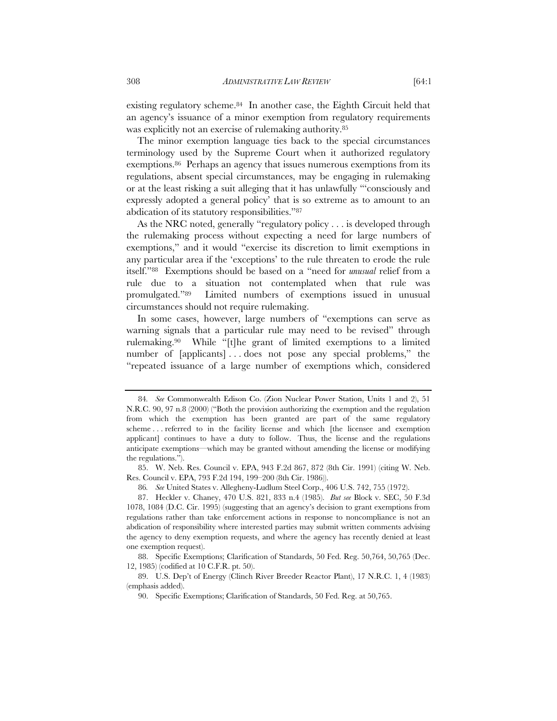existing regulatory scheme.84 In another case, the Eighth Circuit held that an agency's issuance of a minor exemption from regulatory requirements was explicitly not an exercise of rulemaking authority.85

The minor exemption language ties back to the special circumstances terminology used by the Supreme Court when it authorized regulatory exemptions.86 Perhaps an agency that issues numerous exemptions from its regulations, absent special circumstances, may be engaging in rulemaking or at the least risking a suit alleging that it has unlawfully "'consciously and expressly adopted a general policy' that is so extreme as to amount to an abdication of its statutory responsibilities."87

As the NRC noted, generally "regulatory policy . . . is developed through the rulemaking process without expecting a need for large numbers of exemptions," and it would "exercise its discretion to limit exemptions in any particular area if the 'exceptions' to the rule threaten to erode the rule itself."88 Exemptions should be based on a "need for *unusual* relief from a rule due to a situation not contemplated when that rule was promulgated."89 Limited numbers of exemptions issued in unusual circumstances should not require rulemaking.

In some cases, however, large numbers of "exemptions can serve as warning signals that a particular rule may need to be revised" through rulemaking.90 While "[t]he grant of limited exemptions to a limited number of [applicants]...does not pose any special problems," the "repeated issuance of a large number of exemptions which, considered

<sup>84</sup>*. See* Commonwealth Edison Co. (Zion Nuclear Power Station, Units 1 and 2), 51 N.R.C. 90, 97 n.8 (2000) ("Both the provision authorizing the exemption and the regulation from which the exemption has been granted are part of the same regulatory scheme . . . referred to in the facility license and which [the licensee and exemption applicant] continues to have a duty to follow. Thus, the license and the regulations anticipate exemptions—which may be granted without amending the license or modifying the regulations.").

<sup>85.</sup> W. Neb. Res. Council v. EPA, 943 F.2d 867, 872 (8th Cir. 1991) (citing W. Neb. Res. Council v. EPA, 793 F.2d 194, 199–200 (8th Cir. 1986)).

<sup>86</sup>*. See* United States v. Allegheny-Ludlum Steel Corp., 406 U.S. 742, 755 (1972).

<sup>87.</sup> Heckler v. Chaney, 470 U.S. 821, 833 n.4 (1985). *But see* Block v. SEC, 50 F.3d 1078, 1084 (D.C. Cir. 1995) (suggesting that an agency's decision to grant exemptions from regulations rather than take enforcement actions in response to noncompliance is not an abdication of responsibility where interested parties may submit written comments advising the agency to deny exemption requests, and where the agency has recently denied at least one exemption request).

<sup>88.</sup> Specific Exemptions; Clarification of Standards, 50 Fed. Reg. 50,764, 50,765 (Dec. 12, 1985) (codified at 10 C.F.R. pt. 50).

<sup>89.</sup> U.S. Dep't of Energy (Clinch River Breeder Reactor Plant), 17 N.R.C. 1, 4 (1983) (emphasis added).

<sup>90.</sup> Specific Exemptions; Clarification of Standards, 50 Fed. Reg. at 50,765.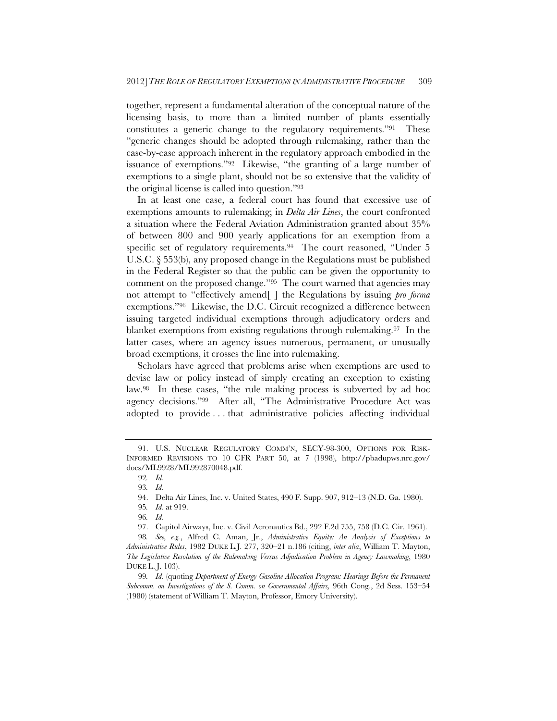together, represent a fundamental alteration of the conceptual nature of the licensing basis, to more than a limited number of plants essentially constitutes a generic change to the regulatory requirements."91 These "generic changes should be adopted through rulemaking, rather than the case-by-case approach inherent in the regulatory approach embodied in the issuance of exemptions."92 Likewise, "the granting of a large number of exemptions to a single plant, should not be so extensive that the validity of the original license is called into question."93

In at least one case, a federal court has found that excessive use of exemptions amounts to rulemaking; in *Delta Air Lines*, the court confronted a situation where the Federal Aviation Administration granted about 35% of between 800 and 900 yearly applications for an exemption from a specific set of regulatory requirements.<sup>94</sup> The court reasoned, "Under 5 U.S.C. § 553(b), any proposed change in the Regulations must be published in the Federal Register so that the public can be given the opportunity to comment on the proposed change."95 The court warned that agencies may not attempt to "effectively amend[ ] the Regulations by issuing *pro forma*  exemptions."96 Likewise, the D.C. Circuit recognized a difference between issuing targeted individual exemptions through adjudicatory orders and blanket exemptions from existing regulations through rulemaking.97 In the latter cases, where an agency issues numerous, permanent, or unusually broad exemptions, it crosses the line into rulemaking.

Scholars have agreed that problems arise when exemptions are used to devise law or policy instead of simply creating an exception to existing law.98 In these cases, "the rule making process is subverted by ad hoc agency decisions."99 After all, "The Administrative Procedure Act was adopted to provide . . . that administrative policies affecting individual

<sup>91.</sup> U.S. NUCLEAR REGULATORY COMM'N, SECY-98-300, OPTIONS FOR RISK-INFORMED REVISIONS TO 10 CFR PART 50, at 7 (1998), http://pbadupws.nrc.gov/ docs/ML9928/ML992870048.pdf.

<sup>92</sup>*. Id.*

<sup>93</sup>*. Id.*

<sup>94.</sup> Delta Air Lines, Inc. v. United States, 490 F. Supp. 907, 912–13 (N.D. Ga. 1980).

<sup>95</sup>*. Id.* at 919.

<sup>96</sup>*. Id.*

<sup>97.</sup> Capitol Airways, Inc. v. Civil Aeronautics Bd., 292 F.2d 755, 758 (D.C. Cir. 1961).

<sup>98</sup>*. See, e.g.*, Alfred C. Aman, Jr., *Administrative Equity: An Analysis of Exceptions to Administrative Rules*, 1982 DUKE L.J. 277, 320–21 n.186 (citing, *inter alia*, William T. Mayton, *The Legislative Resolution of the Rulemaking Versus Adjudication Problem in Agency Lawmaking*, 1980 DUKE L. J. 103).

<sup>99</sup>*. Id.* (quoting *Department of Energy Gasoline Allocation Program: Hearings Before the Permanent Subcomm. on Investigations of the S. Comm. on Governmental Affairs,* 96th Cong., 2d Sess. 153–54 (1980) (statement of William T. Mayton, Professor, Emory University).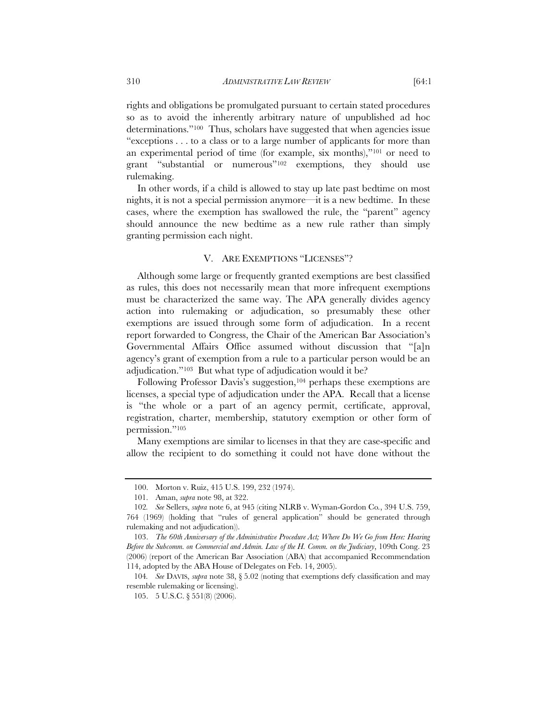rights and obligations be promulgated pursuant to certain stated procedures so as to avoid the inherently arbitrary nature of unpublished ad hoc determinations."100 Thus, scholars have suggested that when agencies issue "exceptions . . . to a class or to a large number of applicants for more than an experimental period of time (for example, six months),"101 or need to grant "substantial or numerous"102 exemptions, they should use rulemaking.

In other words, if a child is allowed to stay up late past bedtime on most nights, it is not a special permission anymore—it is a new bedtime. In these cases, where the exemption has swallowed the rule, the "parent" agency should announce the new bedtime as a new rule rather than simply granting permission each night.

#### V. ARE EXEMPTIONS "LICENSES"?

Although some large or frequently granted exemptions are best classified as rules, this does not necessarily mean that more infrequent exemptions must be characterized the same way. The APA generally divides agency action into rulemaking or adjudication, so presumably these other exemptions are issued through some form of adjudication. In a recent report forwarded to Congress, the Chair of the American Bar Association's Governmental Affairs Office assumed without discussion that "[a]n agency's grant of exemption from a rule to a particular person would be an adjudication."103 But what type of adjudication would it be?

Following Professor Davis's suggestion,<sup>104</sup> perhaps these exemptions are licenses, a special type of adjudication under the APA. Recall that a license is "the whole or a part of an agency permit, certificate, approval, registration, charter, membership, statutory exemption or other form of permission."105

Many exemptions are similar to licenses in that they are case-specific and allow the recipient to do something it could not have done without the

<sup>100.</sup> Morton v. Ruiz, 415 U.S. 199, 232 (1974).

 <sup>101.</sup> Aman, *supra* note 98, at 322.

<sup>102</sup>*. See* Sellers, *supra* note 6, at 945 (citing NLRB v. Wyman-Gordon Co*.*, 394 U.S. 759, 764 (1969) (holding that "rules of general application" should be generated through rulemaking and not adjudication)).

 <sup>103.</sup> *The 60th Anniversary of the Administrative Procedure Act; Where Do We Go from Here: Hearing Before the Subcomm. on Commercial and Admin. Law of the H. Comm. on the Judiciary*, 109th Cong. 23 (2006) (report of the American Bar Association (ABA) that accompanied Recommendation 114, adopted by the ABA House of Delegates on Feb. 14, 2005).

<sup>104</sup>*. See* DAVIS, *supra* note 38, § 5.02 (noting that exemptions defy classification and may resemble rulemaking or licensing).

<sup>105. 5</sup> U.S.C. § 551(8) (2006).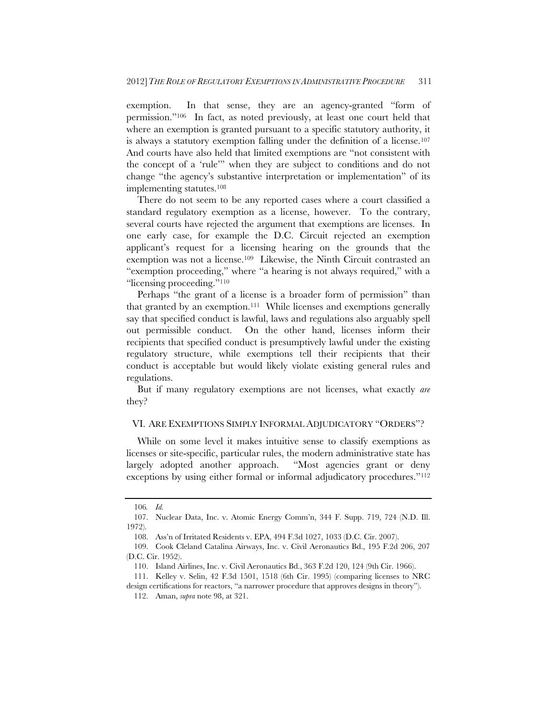exemption. In that sense, they are an agency-granted "form of permission."106 In fact, as noted previously, at least one court held that where an exemption is granted pursuant to a specific statutory authority, it is always a statutory exemption falling under the definition of a license.107 And courts have also held that limited exemptions are "not consistent with the concept of a 'rule'" when they are subject to conditions and do not change "the agency's substantive interpretation or implementation" of its implementing statutes.108

There do not seem to be any reported cases where a court classified a standard regulatory exemption as a license, however. To the contrary, several courts have rejected the argument that exemptions are licenses. In one early case, for example the D.C. Circuit rejected an exemption applicant's request for a licensing hearing on the grounds that the exemption was not a license.109 Likewise, the Ninth Circuit contrasted an "exemption proceeding," where "a hearing is not always required," with a "licensing proceeding."110

Perhaps "the grant of a license is a broader form of permission" than that granted by an exemption.111 While licenses and exemptions generally say that specified conduct is lawful, laws and regulations also arguably spell out permissible conduct. On the other hand, licenses inform their recipients that specified conduct is presumptively lawful under the existing regulatory structure, while exemptions tell their recipients that their conduct is acceptable but would likely violate existing general rules and regulations.

But if many regulatory exemptions are not licenses, what exactly *are* they?

#### VI. ARE EXEMPTIONS SIMPLY INFORMAL ADJUDICATORY "ORDERS"?

While on some level it makes intuitive sense to classify exemptions as licenses or site-specific, particular rules, the modern administrative state has largely adopted another approach. "Most agencies grant or deny exceptions by using either formal or informal adjudicatory procedures."<sup>112</sup>

<sup>106</sup>*. Id.*

<sup>107.</sup> Nuclear Data, Inc. v. Atomic Energy Comm'n, 344 F. Supp. 719, 724 (N.D. Ill. 1972).

<sup>108.</sup> Ass'n of Irritated Residents v. EPA, 494 F.3d 1027, 1033 (D.C. Cir. 2007).

 <sup>109.</sup> Cook Cleland Catalina Airways, Inc. v. Civil Aeronautics Bd., 195 F.2d 206, 207 (D.C. Cir. 1952).

<sup>110.</sup> Island Airlines, Inc. v. Civil Aeronautics Bd., 363 F.2d 120, 124 (9th Cir. 1966).

<sup>111.</sup> Kelley v. Selin, 42 F.3d 1501, 1518 (6th Cir. 1995) (comparing licenses to NRC design certifications for reactors, "a narrower procedure that approves designs in theory").

 <sup>112.</sup> Aman, *supra* note 98, at 321.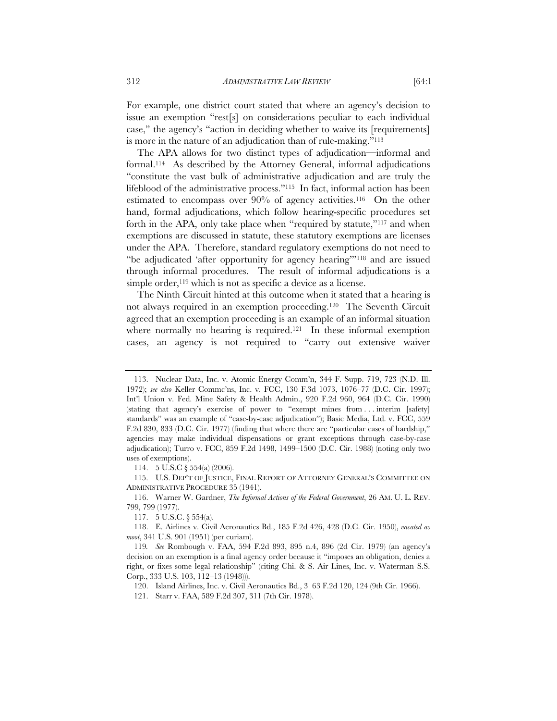For example, one district court stated that where an agency's decision to issue an exemption "rest[s] on considerations peculiar to each individual case," the agency's "action in deciding whether to waive its [requirements] is more in the nature of an adjudication than of rule-making."113

The APA allows for two distinct types of adjudication—informal and formal.114 As described by the Attorney General, informal adjudications "constitute the vast bulk of administrative adjudication and are truly the lifeblood of the administrative process."115 In fact, informal action has been estimated to encompass over 90% of agency activities.116 On the other hand, formal adjudications, which follow hearing-specific procedures set forth in the APA, only take place when "required by statute,"117 and when exemptions are discussed in statute, these statutory exemptions are licenses under the APA. Therefore, standard regulatory exemptions do not need to "be adjudicated 'after opportunity for agency hearing'"118 and are issued through informal procedures. The result of informal adjudications is a simple order,  $^{119}$  which is not as specific a device as a license.

The Ninth Circuit hinted at this outcome when it stated that a hearing is not always required in an exemption proceeding.120 The Seventh Circuit agreed that an exemption proceeding is an example of an informal situation where normally no hearing is required.<sup>121</sup> In these informal exemption cases, an agency is not required to "carry out extensive waiver

114. 5 U.S.C § 554(a) (2006).

 115. U.S. DEP'T OF JUSTICE, FINAL REPORT OF ATTORNEY GENERAL'S COMMITTEE ON ADMINISTRATIVE PROCEDURE 35 (1941).

120. Island Airlines, Inc. v. Civil Aeronautics Bd., 3 63 F.2d 120, 124 (9th Cir. 1966).

 <sup>113.</sup> Nuclear Data, Inc. v. Atomic Energy Comm'n, 344 F. Supp. 719, 723 (N.D. Ill. 1972); *see also* Keller Commc'ns, Inc. v. FCC, 130 F.3d 1073, 1076–77 (D.C. Cir. 1997); Int'l Union v. Fed. Mine Safety & Health Admin., 920 F.2d 960, 964 (D.C. Cir. 1990) (stating that agency's exercise of power to "exempt mines from . . . interim [safety] standards" was an example of "case-by-case adjudication"); Basic Media, Ltd. v. FCC, 559 F.2d 830, 833 (D.C. Cir. 1977) (finding that where there are "particular cases of hardship," agencies may make individual dispensations or grant exceptions through case-by-case adjudication); Turro v. FCC, 859 F.2d 1498, 1499–1500 (D.C. Cir. 1988) (noting only two uses of exemptions).

<sup>116.</sup> Warner W. Gardner, *The Informal Actions of the Federal Government*, 26 AM. U. L. REV. 799, 799 (1977).

<sup>117. 5</sup> U.S.C. § 554(a).

 <sup>118.</sup> E. Airlines v. Civil Aeronautics Bd., 185 F.2d 426, 428 (D.C. Cir. 1950), *vacated as moot*, 341 U.S. 901 (1951) (per curiam).

<sup>119</sup>*. See* Rombough v. FAA, 594 F.2d 893, 895 n.4, 896 (2d Cir. 1979) (an agency's decision on an exemption is a final agency order because it "imposes an obligation, denies a right, or fixes some legal relationship" (citing Chi. & S. Air Lines, Inc. v. Waterman S.S. Corp., 333 U.S. 103, 112–13 (1948))).

<sup>121.</sup> Starr v. FAA, 589 F.2d 307, 311 (7th Cir. 1978).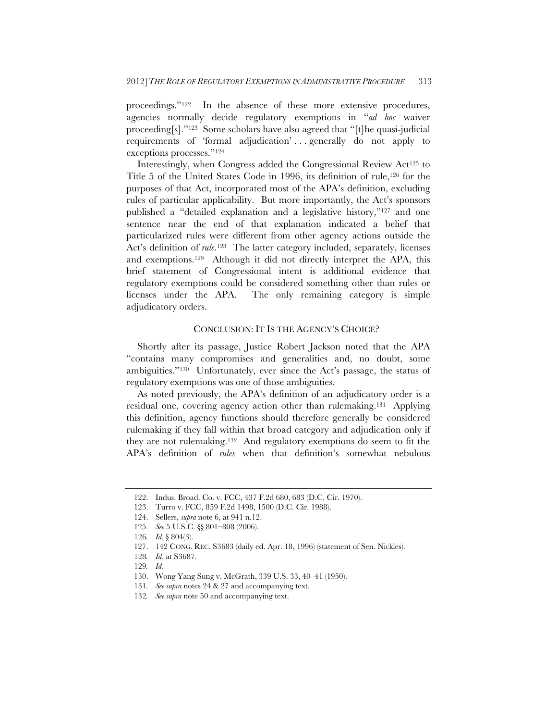proceedings."122 In the absence of these more extensive procedures, agencies normally decide regulatory exemptions in "*ad hoc* waiver proceeding[s]."123 Some scholars have also agreed that "[t]he quasi-judicial requirements of 'formal adjudication' ... generally do not apply to exceptions processes."124

Interestingly, when Congress added the Congressional Review Act125 to Title 5 of the United States Code in 1996, its definition of rule,<sup>126</sup> for the purposes of that Act, incorporated most of the APA's definition, excluding rules of particular applicability. But more importantly, the Act's sponsors published a "detailed explanation and a legislative history,"127 and one sentence near the end of that explanation indicated a belief that particularized rules were different from other agency actions outside the Act's definition of *rule*.<sup>128</sup> The latter category included, separately, licenses and exemptions.129 Although it did not directly interpret the APA, this brief statement of Congressional intent is additional evidence that regulatory exemptions could be considered something other than rules or licenses under the APA. The only remaining category is simple adjudicatory orders.

### CONCLUSION: IT IS THE AGENCY'S CHOICE?

Shortly after its passage, Justice Robert Jackson noted that the APA "contains many compromises and generalities and, no doubt, some ambiguities."130 Unfortunately, ever since the Act's passage, the status of regulatory exemptions was one of those ambiguities.

As noted previously, the APA's definition of an adjudicatory order is a residual one, covering agency action other than rulemaking.131 Applying this definition, agency functions should therefore generally be considered rulemaking if they fall within that broad category and adjudication only if they are not rulemaking.132 And regulatory exemptions do seem to fit the APA's definition of *rules* when that definition's somewhat nebulous

<sup>122.</sup> Indus. Broad. Co. v. FCC, 437 F.2d 680, 683 (D.C. Cir. 1970).

<sup>123.</sup> Turro v. FCC, 859 F.2d 1498, 1500 (D.C. Cir. 1988).

 <sup>124.</sup> Sellers, *supra* note 6, at 941 n.12.

 <sup>125.</sup> *See* 5 U.S.C. §§ 801–808 (2006).

<sup>126</sup>*. Id.* § 804(3).

 <sup>127. 142</sup> CONG. REC. S3683 (daily ed. Apr. 18, 1996) (statement of Sen. Nickles).

<sup>128</sup>*. Id.* at S3687.

<sup>129</sup>*. Id.*

<sup>130.</sup> Wong Yang Sung v. McGrath, 339 U.S. 33, 40–41 (1950).

<sup>131</sup>*. See supra* notes 24 & 27 and accompanying text.

<sup>132</sup>*. See supra* note 50 and accompanying text.